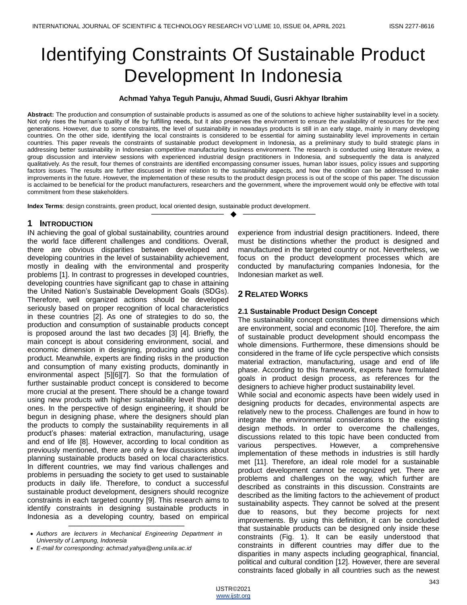# Identifying Constraints Of Sustainable Product Development In Indonesia

#### **Achmad Yahya Teguh Panuju, Ahmad Suudi, Gusri Akhyar Ibrahim**

**Abstract:** The production and consumption of sustainable products is assumed as one of the solutions to achieve higher sustainability level in a society. Not only rises the human's quality of life by fulfilling needs, but it also preserves the environment to ensure the availability of resources for the next generations. However, due to some constraints, the level of sustainability in nowadays products is still in an early stage, mainly in many developing countries. On the other side, identifying the local constraints is considered to be essential for aiming sustainability level improvements in certain countries. This paper reveals the constraints of sustainable product development in Indonesia, as a preliminary study to build strategic plans in addressing better sustainability in Indonesian competitive manufacturing business environment. The research is conducted using literature review, a group discussion and interview sessions with experienced industrial design practitioners in Indonesia, and subsequently the data is analyzed qualitatively. As the result, four themes of constraints are identified encompassing consumer issues, human labor issues, policy issues and supporting factors issues. The results are further discussed in their relation to the sustainability aspects, and how the condition can be addressed to make improvements in the future. However, the implementation of these results to the product design process is out of the scope of this paper. The discussion is acclaimed to be beneficial for the product manufacturers, researchers and the government, where the improvement would only be effective with total commitment from these stakeholders.

—————————— ——————————

**Index Terms**: design constraints, green product, local oriented design, sustainable product development.

#### **1 INTRODUCTION**

N achieving the goal of global sustainability, countries around I the world face different challenges and conditions. Overall, there are obvious disparities between developed and developing countries in the level of sustainability achievement, mostly in dealing with the environmental and prosperity problems [1]. In contrast to progresses in developed countries, developing countries have significant gap to chase in attaining the United Nation's Sustainable Development Goals (SDGs). Therefore, well organized actions should be developed seriously based on proper recognition of local characteristics in these countries [2]. As one of strategies to do so, the production and consumption of sustainable products concept is proposed around the last two decades [3] [4]. Briefly, the main concept is about considering environment, social, and economic dimension in designing, producing and using the product. Meanwhile, experts are finding risks in the production and consumption of many existing products, dominantly in environmental aspect [5][6][7]. So that the formulation of further sustainable product concept is considered to become more crucial at the present. There should be a change toward using new products with higher sustainability level than prior ones. In the perspective of design engineering, it should be begun in designing phase, where the designers should plan the products to comply the sustainability requirements in all product's phases: material extraction, manufacturing, usage and end of life [8]. However, according to local condition as previously mentioned, there are only a few discussions about planning sustainable products based on local characteristics. In different countries, we may find various challenges and problems in persuading the society to get used to sustainable products in daily life. Therefore, to conduct a successful sustainable product development, designers should recognize constraints in each targeted country [9]. This research aims to identify constraints in designing sustainable products in Indonesia as a developing country, based on empirical

———————————————— *Authors are lecturers in Mechanical Engineering Department in University of Lampung, Indonesia*

experience from industrial design practitioners. Indeed, there must be distinctions whether the product is designed and manufactured in the targeted country or not. Nevertheless, we focus on the product development processes which are conducted by manufacturing companies Indonesia, for the Indonesian market as well.

## **2 RELATED WORKS**

#### **2.1 Sustainable Product Design Concept**

The sustainability concept constitutes three dimensions which are environment, social and economic [10]. Therefore, the aim of sustainable product development should encompass the whole dimensions. Furthermore, these dimensions should be considered in the frame of life cycle perspective which consists material extraction, manufacturing, usage and end of life phase. According to this framework, experts have formulated goals in product design process, as references for the designers to achieve higher product sustainability level.

While social and economic aspects have been widely used in designing products for decades, environmental aspects are relatively new to the process. Challenges are found in how to integrate the environmental considerations to the existing design methods. In order to overcome the challenges, discussions related to this topic have been conducted from various perspectives. However, a comprehensive implementation of these methods in industries is still hardly met [11]. Therefore, an ideal role model for a sustainable product development cannot be recognized yet. There are problems and challenges on the way, which further are described as constraints in this discussion. Constraints are described as the limiting factors to the achievement of product sustainability aspects. They cannot be solved at the present due to reasons, but they become projects for next improvements. By using this definition, it can be concluded that sustainable products can be designed only inside these constraints (Fig. 1). It can be easily understood that constraints in different countries may differ due to the disparities in many aspects including geographical, financial, political and cultural condition [12]. However, there are several constraints faced globally in all countries such as the newest

*E-mail for corresponding: achmad.yahya@eng.unila.ac.id*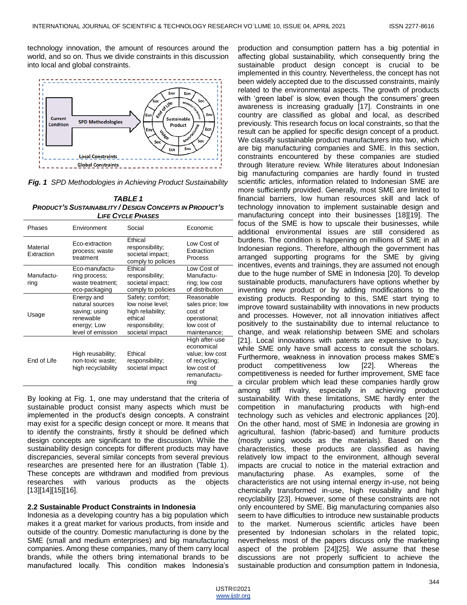technology innovation, the amount of resources around the world, and so on. Thus we divide constraints in this discussion into local and global constraints.



*Fig. 1 SPD Methodologies in Achieving Product Sustainability*

| <b>TABLE 1</b>                                                 |
|----------------------------------------------------------------|
| <b>PRODUCT'S SUSTAINABILITY / DESIGN CONCEPTS IN PRODUCT'S</b> |
| <b>LIFE CYCLE PHASES</b>                                       |

| Phases                 | Environment                                                                                     | Social                                                                                                     | Economic                                                                                                |
|------------------------|-------------------------------------------------------------------------------------------------|------------------------------------------------------------------------------------------------------------|---------------------------------------------------------------------------------------------------------|
| Material<br>Extraction | Eco-extraction<br>process; waste<br>treatment                                                   | Ethical<br>responsibility;<br>societal impact;<br>comply to policies                                       | Low Cost of<br>Extraction<br>Process                                                                    |
| Manufactu-<br>ring     | Eco-manufactu-<br>ring process;<br>waste treatment;<br>eco-packaging                            | Ethical<br>responsibility;<br>societal impact;<br>comply to policies                                       | Low Cost of<br>Manufactu-<br>ring; low cost<br>of distribution                                          |
| Usage                  | Energy and<br>natural sources<br>saving; using<br>renewable<br>energy; Low<br>level of emission | Safety; comfort;<br>low noise level;<br>high reliability;<br>ethical<br>responsibility;<br>societal impact | Reasonable<br>sales price; low<br>cost of<br>operational;<br>low cost of<br>maintenance;                |
| End of Life            | High reusability;<br>non-toxic waste;<br>high recyclability                                     | Ethical<br>responsibility;<br>societal impact                                                              | High after-use<br>economical<br>value; low cost<br>of recycling;<br>low cost of<br>remanufactu-<br>ring |

By looking at Fig. 1, one may understand that the criteria of sustainable product consist many aspects which must be implemented in the product's design concepts. A constraint may exist for a specific design concept or more. It means that to identify the constraints, firstly it should be defined which design concepts are significant to the discussion. While the sustainability design concepts for different products may have discrepancies, several similar concepts from several previous researches are presented here for an illustration (Table 1). These concepts are withdrawn and modified from previous researches with various products as the objects [13][14][15][16].

#### **2.2 Sustainable Product Constraints in Indonesia**

Indonesia as a developing country has a big population which makes it a great market for various products, from inside and outside of the country. Domestic manufacturing is done by the SME (small and medium enterprises) and big manufacturing companies. Among these companies, many of them carry local brands, while the others bring international brands to be manufactured locally. This condition makes Indonesia's

production and consumption pattern has a big potential in affecting global sustainability, which consequently bring the sustainable product design concept is crucial to be implemented in this country. Nevertheless, the concept has not been widely accepted due to the discussed constraints, mainly related to the environmental aspects. The growth of products with 'green label' is slow, even though the consumers' green awareness is increasing gradually [17]. Constraints in one country are classified as global and local, as described previously. This research focus on local constraints, so that the result can be applied for specific design concept of a product. We classify sustainable product manufacturers into two, which are big manufacturing companies and SME. In this section, constraints encountered by these companies are studied through literature review. While literatures about Indonesian big manufacturing companies are hardly found in trusted scientific articles, information related to Indonesian SME are more sufficiently provided. Generally, most SME are limited to financial barriers, low human resources skill and lack of technology innovation to implement sustainable design and manufacturing concept into their businesses [18][19]. The focus of the SME is how to upscale their businesses, while additional environmental issues are still considered as burdens. The condition is happening on millions of SME in all Indonesian regions. Therefore, although the government has arranged supporting programs for the SME by giving incentives, events and trainings, they are assumed not enough due to the huge number of SME in Indonesia [20]. To develop sustainable products, manufacturers have options whether by inventing new product or by adding modifications to the existing products. Responding to this, SME start trying to improve toward sustainability with innovations in new products and processes. However, not all innovation initiatives affect positively to the sustainability due to internal reluctance to change, and weak relationship between SME and scholars [21]. Local innovations with patents are expensive to buy, while SME only have small access to consult the scholars. Furthermore, weakness in innovation process makes SME's product competitiveness low [22]. Whereas the competitiveness is needed for further improvement, SME face a circular problem which lead these companies hardly grow among stiff rivalry, especially in achieving product sustainability. With these limitations, SME hardly enter the competition in manufacturing products with high-end technology such as vehicles and electronic appliances [20]. On the other hand, most of SME in Indonesia are growing in agricultural, fashion (fabric-based) and furniture products (mostly using woods as the materials). Based on the characteristics, these products are classified as having relatively low impact to the environment, although several impacts are crucial to notice in the material extraction and manufacturing phase. As examples, some of the characteristics are not using internal energy in-use, not being chemically transformed in-use, high reusability and high recyclability [23]. However, some of these constraints are not only encountered by SME. Big manufacturing companies also seem to have difficulties to introduce new sustainable products to the market. Numerous scientific articles have been presented by Indonesian scholars in the related topic, nevertheless most of the papers discuss only the marketing aspect of the problem [24][25]. We assume that these discussions are not properly sufficient to achieve the sustainable production and consumption pattern in Indonesia,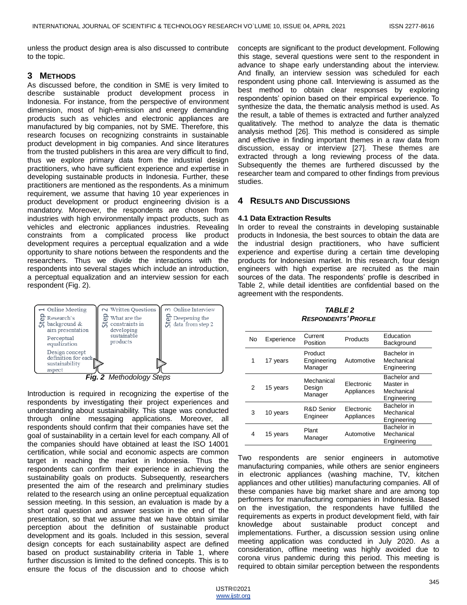unless the product design area is also discussed to contribute to the topic.

# **3 METHODS**

As discussed before, the condition in SME is very limited to describe sustainable product development process in Indonesia. For instance, from the perspective of environment dimension, most of high-emission and energy demanding products such as vehicles and electronic appliances are manufactured by big companies, not by SME. Therefore, this research focuses on recognizing constraints in sustainable product development in big companies. And since literatures from the trusted publishers in this area are very difficult to find, thus we explore primary data from the industrial design practitioners, who have sufficient experience and expertise in developing sustainable products in Indonesia. Further, these practitioners are mentioned as the respondents. As a minimum requirement, we assume that having 10 year experiences in product development or product engineering division is a mandatory. Moreover, the respondents are chosen from industries with high environmentally impact products, such as vehicles and electronic appliances industries. Revealing constraints from a complicated process like product development requires a perceptual equalization and a wide opportunity to share notions between the respondents and the researchers. Thus we divide the interactions with the respondents into several stages which include an introduction, a perceptual equalization and an interview session for each respondent (Fig. 2).



*Fig. 2 Methodology Steps*

Introduction is required in recognizing the expertise of the respondents by investigating their project experiences and understanding about sustainability. This stage was conducted through online messaging applications. Moreover, all respondents should confirm that their companies have set the goal of sustainability in a certain level for each company. All of the companies should have obtained at least the ISO 14001 certification, while social and economic aspects are common target in reaching the market in Indonesia. Thus the respondents can confirm their experience in achieving the sustainability goals on products. Subsequently, researchers presented the aim of the research and preliminary studies related to the research using an online perceptual equalization session meeting. In this session, an evaluation is made by a short oral question and answer session in the end of the presentation, so that we assume that we have obtain similar perception about the definition of sustainable product development and its goals. Included in this session, several design concepts for each sustainability aspect are defined based on product sustainability criteria in Table 1, where further discussion is limited to the defined concepts. This is to ensure the focus of the discussion and to choose which

concepts are significant to the product development. Following this stage, several questions were sent to the respondent in advance to shape early understanding about the interview. And finally, an interview session was scheduled for each respondent using phone call. Interviewing is assumed as the best method to obtain clear responses by exploring respondents' opinion based on their empirical experience. To synthesize the data, the thematic analysis method is used. As the result, a table of themes is extracted and further analyzed qualitatively. The method to analyze the data is thematic analysis method [26]. This method is considered as simple and effective in finding important themes in a raw data from discussion, essay or interview [27]. These themes are extracted through a long reviewing process of the data. Subsequently the themes are furthered discussed by the researcher team and compared to other findings from previous studies.

#### **4 RESULTS AND DISCUSSIONS**

#### **4.1 Data Extraction Results**

In order to reveal the constraints in developing sustainable products in Indonesia, the best sources to obtain the data are the industrial design practitioners, who have sufficient experience and expertise during a certain time developing products for Indonesian market. In this research, four design engineers with high expertise are recruited as the main sources of the data. The respondents' profile is described in Table 2, while detail identities are confidential based on the agreement with the respondents.

*TABLE 2 RESPONDENTS'PROFILE*

| <b>No</b> | Experience | Current<br>Position               | Products                 | Education<br>Background                                |
|-----------|------------|-----------------------------------|--------------------------|--------------------------------------------------------|
| 1         | 17 years   | Product<br>Engineering<br>Manager | Automotive               | Bachelor in<br>Mechanical<br>Engineering               |
| 2         | 15 years   | Mechanical<br>Design<br>Manager   | Flectronic<br>Appliances | Bachelor and<br>Master in<br>Mechanical<br>Engineering |
| 3         | 10 years   | R&D Senior<br>Engineer            | Electronic<br>Appliances | Bachelor in<br>Mechanical<br>Engineering               |
| 4         | 15 years   | Plant<br>Manager                  | Automotive               | Bachelor in<br>Mechanical<br>Engineering               |

Two respondents are senior engineers in automotive manufacturing companies, while others are senior engineers in electronic appliances (washing machine, TV, kitchen appliances and other utilities) manufacturing companies. All of these companies have big market share and are among top performers for manufacturing companies in Indonesia. Based on the investigation, the respondents have fulfilled the requirements as experts in product development field, with fair knowledge about sustainable product concept and implementations. Further, a discussion session using online meeting application was conducted in July 2020. As a consideration, offline meeting was highly avoided due to corona virus pandemic during this period. This meeting is required to obtain similar perception between the respondents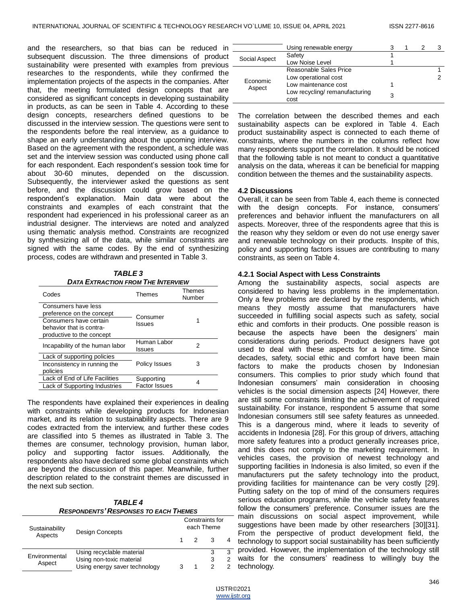and the researchers, so that bias can be reduced in subsequent discussion. The three dimensions of product sustainability were presented with examples from previous  $=$ researches to the respondents, while they confirmed the implementation projects of the aspects in the companies. After that, the meeting formulated design concepts that are considered as significant concepts in developing sustainability in products, as can be seen in Table 4. According to these design concepts, researchers defined questions to be discussed in the interview session. The questions were sent to the respondents before the real interview, as a guidance to shape an early understanding about the upcoming interview. Based on the agreement with the respondent, a schedule was set and the interview session was conducted using phone call for each respondent. Each respondent's session took time for about 30-60 minutes, depended on the discussion. Subsequently, the interviewer asked the questions as sent before, and the discussion could grow based on the respondent's explanation. Main data were about the constraints and examples of each constraint that the respondent had experienced in his professional career as an industrial designer. The interviews are noted and analyzed using thematic analysis method. Constraints are recognized by synthesizing all of the data, while similar constraints are signed with the same codes. By the end of synthesizing process, codes are withdrawn and presented in Table 3.

| TABLE 3                                   |  |
|-------------------------------------------|--|
| <b>DATA EXTRACTION FROM THE INTERVIEW</b> |  |

| Codes                                                                                                                               | Themes                             | <b>Themes</b><br>Number |
|-------------------------------------------------------------------------------------------------------------------------------------|------------------------------------|-------------------------|
| Consumers have less<br>preference on the concept<br>Consumers have certain<br>behavior that is contra-<br>productive to the concept | Consumer<br>Issues                 |                         |
| Incapability of the human labor                                                                                                     | Human Labor<br>Issues              | 2                       |
| Lack of supporting policies<br>Inconsistency in running the<br>policies                                                             | <b>Policy Issues</b>               | 3                       |
| Lack of End of Life Facilities<br>Lack of Supporting Industries                                                                     | Supporting<br><b>Factor Issues</b> |                         |

The respondents have explained their experiences in dealing with constraints while developing products for Indonesian market, and its relation to sustainability aspects. There are 9 codes extracted from the interview, and further these codes are classified into 5 themes as illustrated in Table 3. The themes are consumer, technology provision, human labor, policy and supporting factor issues. Additionally, the respondents also have declared some global constraints which are beyond the discussion of this paper. Meanwhile, further description related to the constraint themes are discussed in the next sub section.

| <b>TABLE4</b>                                |  |
|----------------------------------------------|--|
| <b>RESPONDENTS' RESPONSES TO EACH THEMES</b> |  |

| Sustainability<br>Aspects | <b>Design Concepts</b>        | Constraints for<br>each Theme |                |  |   |
|---------------------------|-------------------------------|-------------------------------|----------------|--|---|
|                           |                               |                               | $\overline{2}$ |  |   |
| Environmental<br>Aspect   | Using recyclable material     |                               |                |  | 3 |
|                           | Using non-toxic material      |                               |                |  |   |
|                           | Using energy saver technology |                               |                |  |   |

|                    | Using renewable energy                 |  |  |
|--------------------|----------------------------------------|--|--|
| Social Aspect      | Safety                                 |  |  |
|                    | Low Noise Level                        |  |  |
| Economic<br>Aspect | Reasonable Sales Price                 |  |  |
|                    | Low operational cost                   |  |  |
|                    | Low maintenance cost                   |  |  |
|                    | Low recycling/ remanufacturing<br>cost |  |  |

The correlation between the described themes and each sustainability aspects can be explored in Table 4. Each product sustainability aspect is connected to each theme of constraints, where the numbers in the columns reflect how many respondents support the correlation. It should be noticed that the following table is not meant to conduct a quantitative analysis on the data, whereas it can be beneficial for mapping condition between the themes and the sustainability aspects.

#### **4.2 Discussions**

Overall, it can be seen from Table 4, each theme is connected with the design concepts. For instance, consumers' preferences and behavior influent the manufacturers on all aspects. Moreover, three of the respondents agree that this is the reason why they seldom or even do not use energy saver and renewable technology on their products. Inspite of this, policy and supporting factors issues are contributing to many constraints, as seen on Table 4.

#### **4.2.1 Social Aspect with Less Constraints**

Among the sustainability aspects, social aspects are considered to having less problems in the implementation. Only a few problems are declared by the respondents, which means they mostly assume that manufacturers have succeeded in fulfilling social aspects such as safety, social ethic and comforts in their products. One possible reason is because the aspects have been the designers' main considerations during periods. Product designers have got used to deal with these aspects for a long time. Since decades, safety, social ethic and comfort have been main factors to make the products chosen by Indonesian consumers. This complies to prior study which found that Indonesian consumers' main consideration in choosing vehicles is the social dimension aspects [24] However, there are still some constraints limiting the achievement of required sustainability. For instance, respondent 5 assume that some Indonesian consumers still see safety features as unneeded. This is a dangerous mind, where it leads to severity of accidents in Indonesia [28]. For this group of drivers, attaching more safety features into a product generally increases price, and this does not comply to the marketing requirement. In vehicles cases, the provision of newest technology and supporting facilities in Indonesia is also limited, so even if the manufacturers put the safety technology into the product, providing facilities for maintenance can be very costly [29]. Putting safety on the top of mind of the consumers requires serious education programs, while the vehicle safety features follow the consumers' preference. Consumer issues are the main discussions on social aspect improvement, while suggestions have been made by other researchers [30][31]. From the perspective of product development field, the technology to support social sustainability has been sufficiently provided. However, the implementation of the technology still waits for the consumers' readiness to willingly buy the technology.

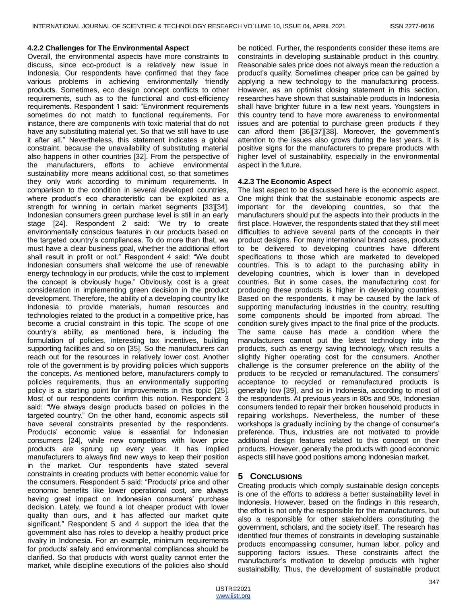#### **4.2.2 Challenges for The Environmental Aspect**

Overall, the environmental aspects have more constraints to discuss, since eco-product is a relatively new issue in Indonesia. Our respondents have confirmed that they face various problems in achieving environmentally friendly products. Sometimes, eco design concept conflicts to other requirements, such as to the functional and cost-efficiency requirements. Respondent 1 said: "Environment requirements" sometimes do not match to functional requirements. For instance, there are components with toxic material that do not have any substituting material yet. So that we still have to use it after all." Nevertheless, this statement indicates a global constraint, because the unavailability of substituting material also happens in other countries [32]. From the perspective of the manufacturers, efforts to achieve environmental sustainability more means additional cost, so that sometimes they only work according to minimum requirements. In comparison to the condition in several developed countries, where product's eco characteristic can be exploited as a strength for winning in certain market segments [33][34], Indonesian consumers green purchase level is still in an early stage [24]. Respondent 2 said: "We try to create environmentally conscious features in our products based on the targeted country's compliances. To do more than that, we must have a clear business goal, whether the additional effort shall result in profit or not." Respondent 4 said: "We doubt Indonesian consumers shall welcome the use of renewable energy technology in our products, while the cost to implement the concept is obviously huge." Obviously, cost is a great consideration in implementing green decision in the product development. Therefore, the ability of a developing country like Indonesia to provide materials, human resources and technologies related to the product in a competitive price, has become a crucial constraint in this topic. The scope of one country's ability, as mentioned here, is including the formulation of policies, interesting tax incentives, building supporting facilities and so on [35]. So the manufacturers can reach out for the resources in relatively lower cost. Another role of the government is by providing policies which supports the concepts. As mentioned before, manufacturers comply to policies requirements, thus an environmentally supporting policy is a starting point for improvements in this topic [25]. Most of our respondents confirm this notion. Respondent 3 said: "We always design products based on policies in the targeted country." On the other hand, economic aspects still have several constraints presented by the respondents. Products' economic value is essential for Indonesian consumers [24], while new competitors with lower price products are sprung up every year. It has implied manufacturers to always find new ways to keep their position in the market. Our respondents have stated several constraints in creating products with better economic value for the consumers. Respondent 5 said: "Products' price and other economic benefits like lower operational cost, are always having great impact on Indonesian consumers' purchase decision. Lately, we found a lot cheaper product with lower quality than ours, and it has affected our market quite significant." Respondent 5 and 4 support the idea that the government also has roles to develop a healthy product price rivalry in Indonesia. For an example, minimum requirements for products' safety and environmental compliances should be clarified. So that products with worst quality cannot enter the market, while discipline executions of the policies also should

be noticed. Further, the respondents consider these items are constraints in developing sustainable product in this country. Reasonable sales price does not always mean the reduction a product's quality. Sometimes cheaper price can be gained by applying a new technology to the manufacturing process. However, as an optimist closing statement in this section, researches have shown that sustainable products in Indonesia shall have brighter future in a few next years. Youngsters in this country tend to have more awareness to environmental issues and are potential to purchase green products if they can afford them [36][37][38]. Moreover, the government's attention to the issues also grows during the last years. It is positive signs for the manufacturers to prepare products with higher level of sustainability, especially in the environmental aspect in the future.

### **4.2.3 The Economic Aspect**

The last aspect to be discussed here is the economic aspect. One might think that the sustainable economic aspects are important for the developing countries, so that the manufacturers should put the aspects into their products in the first place. However, the respondents stated that they still meet difficulties to achieve several parts of the concepts in their product designs. For many international brand cases, products to be delivered to developing countries have different specifications to those which are marketed to developed countries. This is to adapt to the purchasing ability in developing countries, which is lower than in developed countries. But in some cases, the manufacturing cost for producing these products is higher in developing countries. Based on the respondents, it may be caused by the lack of supporting manufacturing industries in the country, resulting some components should be imported from abroad. The condition surely gives impact to the final price of the products. The same cause has made a condition where the manufacturers cannot put the latest technology into the products, such as energy saving technology, which results a slightly higher operating cost for the consumers. Another challenge is the consumer preference on the ability of the products to be recycled or remanufactured. The consumers' acceptance to recycled or remanufactured products is generally low [39], and so in Indonesia, according to most of the respondents. At previous years in 80s and 90s, Indonesian consumers tended to repair their broken household products in repairing workshops. Nevertheless, the number of these workshops is gradually inclining by the change of consumer's preference. Thus, industries are not motivated to provide additional design features related to this concept on their products. However, generally the products with good economic aspects still have good positions among Indonesian market.

## **5 CONCLUSIONS**

Creating products which comply sustainable design concepts is one of the efforts to address a better sustainability level in Indonesia. However, based on the findings in this research, the effort is not only the responsible for the manufacturers, but also a responsible for other stakeholders constituting the government, scholars, and the society itself. The research has identified four themes of constraints in developing sustainable products encompassing consumer, human labor, policy and supporting factors issues. These constraints affect the manufacturer's motivation to develop products with higher sustainability. Thus, the development of sustainable product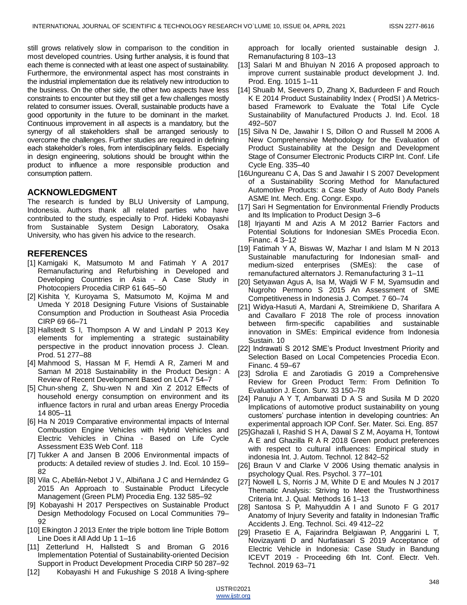still grows relatively slow in comparison to the condition in most developed countries. Using further analysis, it is found that each theme is connected with at least one aspect of sustainability. Furthermore, the environmental aspect has most constraints in the industrial implementation due its relatively new introduction to the business. On the other side, the other two aspects have less constraints to encounter but they still get a few challenges mostly related to consumer issues. Overall, sustainable products have a good opportunity in the future to be dominant in the market. Continuous improvement in all aspects is a mandatory, but the synergy of all stakeholders shall be arranged seriously to overcome the challenges. Further studies are required in defining each stakeholder's roles, from interdisciplinary fields. Especially in design engineering, solutions should be brought within the product to influence a more responsible production and consumption pattern.

# **ACKNOWLEDGMENT**

The research is funded by BLU University of Lampung, Indonesia. Authors thank all related parties who have contributed to the study, especially to Prof. Hideki Kobayashi from Sustainable System Design Laboratory, Osaka University, who has given his advice to the research.

# **REFERENCES**

- [1] Kamigaki K, Matsumoto M and Fatimah Y A 2017 Remanufacturing and Refurbishing in Developed and Developing Countries in Asia - A Case Study in Photocopiers Procedia CIRP 61 645–50
- [2] Kishita Y, Kuroyama S, Matsumoto M, Kojima M and Umeda Y 2018 Designing Future Visions of Sustainable Consumption and Production in Southeast Asia Procedia CIRP 69 66–71
- [3] Hallstedt S I, Thompson A W and Lindahl P 2013 Key elements for implementing a strategic sustainability perspective in the product innovation process J. Clean. Prod. 51 277–88
- [4] Mahmood S, Hassan M F, Hemdi A R, Zameri M and Saman M 2018 Sustainability in the Product Design : A Review of Recent Development Based on LCA 7 54–7
- [5] Chun-sheng Z, Shu-wen N and Xin Z 2012 Effects of household energy consumption on environment and its influence factors in rural and urban areas Energy Procedia 14 805–11
- [6] Ha N 2019 Comparative environmental impacts of Internal Combustion Engine Vehicles with Hybrid Vehicles and Electric Vehicles in China - Based on Life Cycle Assessment E3S Web Conf. 118
- [7] Tukker A and Jansen B 2006 Environmental impacts of products: A detailed review of studies J. Ind. Ecol. 10 159– 82
- [8] Vila C, Abellán-Nebot J V., Albiñana J C and Hernández G 2015 An Approach to Sustainable Product Lifecycle Management (Green PLM) Procedia Eng. 132 585–92
- [9] Kobayashi H 2017 Perspectives on Sustainable Product Design Methodology Focused on Local Communities 79– 92
- [10] Elkington J 2013 Enter the triple bottom line Triple Bottom Line Does it All Add Up 1 1–16
- [11] Zetterlund H, Hallstedt S and Broman G 2016 Implementation Potential of Sustainability-oriented Decision Support in Product Development Procedia CIRP 50 287–92
- [12] Kobayashi H and Fukushige S 2018 A living-sphere

approach for locally oriented sustainable design J. Remanufacturing 8 103–13

- [13] Salari M and Bhuiyan N 2016 A proposed approach to improve current sustainable product development J. Ind. Prod. Eng. 1015 1–11
- [14] Shuaib M, Seevers D, Zhang X, Badurdeen F and Rouch K E 2014 Product Sustainability Index ( ProdSI ) A Metricsbased Framework to Evaluate the Total Life Cycle Sustainability of Manufactured Products J. Ind. Ecol. 18 492–507
- [15] Silva N De, Jawahir I S, Dillon O and Russell M 2006 A New Comprehensive Methodology for the Evaluation of Product Sustainability at the Design and Development Stage of Consumer Electronic Products CIRP Int. Conf. Life Cycle Eng. 335–40
- [16Ungureanu C A, Das S and Jawahir I S 2007 Development of a Sustainability Scoring Method for Manufactured Automotive Products: a Case Study of Auto Body Panels ASME Int. Mech. Eng. Congr. Expo.
- [17] Sari H Segmentation for Environmental Friendly Products and Its Implication to Product Design 3–6
- [18] Irjayanti M and Azis A M 2012 Barrier Factors and Potential Solutions for Indonesian SMEs Procedia Econ. Financ. 4 3–12
- [19] Fatimah Y A, Biswas W, Mazhar I and Islam M N 2013 Sustainable manufacturing for Indonesian small- and medium-sized enterprises (SMEs): the case of remanufactured alternators J. Remanufacturing 3 1–11
- [20] Setyawan Agus A, Isa M, Wajdi W F M, Syamsudin and Nugroho Permono S 2015 An Assessment of SME Competitiveness in Indonesia J. Compet. 7 60–74
- [21] Widya-Hasuti A, Mardani A, Streimikiene D, Sharifara A and Cavallaro F 2018 The role of process innovation between firm-specific capabilities and sustainable innovation in SMEs: Empirical evidence from Indonesia Sustain. 10
- [22] Indrawati S 2012 SME's Product Investment Priority and Selection Based on Local Competencies Procedia Econ. Financ. 4 59–67
- [23] Sdrolia E and Zarotiadis G 2019 a Comprehensive Review for Green Product Term: From Definition To Evaluation J. Econ. Surv. 33 150–78
- [24] Panuju A Y T, Ambarwati D A S and Susila M D 2020 Implications of automotive product sustainability on young customers' purchase intention in developing countries: An experimental approach IOP Conf. Ser. Mater. Sci. Eng. 857
- [25]Ghazali I, Rashid S H A, Dawal S Z M, Aoyama H, Tontowi A E and Ghazilla R A R 2018 Green product preferences with respect to cultural influences: Empirical study in indonesia Int. J. Autom. Technol. 12 842–52
- [26] Braun V and Clarke V 2006 Using thematic analysis in psychology Qual. Res. Psychol. 3 77–101
- [27] Nowell L S, Norris J M, White D E and Moules N J 2017 Thematic Analysis: Striving to Meet the Trustworthiness Criteria Int. J. Qual. Methods 16 1–13
- [28] Santosa S P, Mahyuddin A I and Sunoto F G 2017 Anatomy of Injury Severity and fatality in Indonesian Traffic Accidents J. Eng. Technol. Sci. 49 412–22
- [29] Prasetio E A, Fajarindra Belgiawan P, Anggarini L T, Novizayanti D and Nurfatiasari S 2019 Acceptance of Electric Vehicle in Indonesia: Case Study in Bandung ICEVT 2019 - Proceeding 6th Int. Conf. Electr. Veh. Technol. 2019 63–71